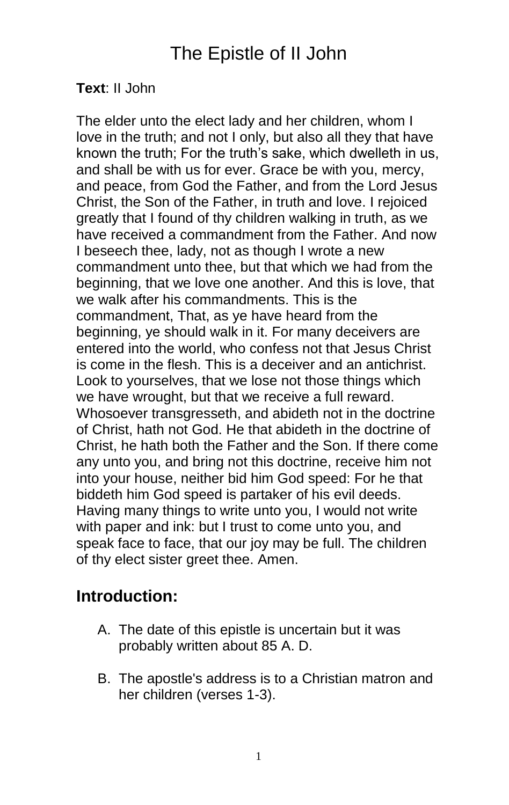# The Epistle of II John

#### **Text**: II John

The elder unto the elect lady and her children, whom I love in the truth; and not I only, but also all they that have known the truth; For the truth's sake, which dwelleth in us, and shall be with us for ever. Grace be with you, mercy, and peace, from God the Father, and from the Lord Jesus Christ, the Son of the Father, in truth and love. I rejoiced greatly that I found of thy children walking in truth, as we have received a commandment from the Father. And now I beseech thee, lady, not as though I wrote a new commandment unto thee, but that which we had from the beginning, that we love one another. And this is love, that we walk after his commandments. This is the commandment, That, as ye have heard from the beginning, ye should walk in it. For many deceivers are entered into the world, who confess not that Jesus Christ is come in the flesh. This is a deceiver and an antichrist. Look to yourselves, that we lose not those things which we have wrought, but that we receive a full reward. Whosoever transgresseth, and abideth not in the doctrine of Christ, hath not God. He that abideth in the doctrine of Christ, he hath both the Father and the Son. If there come any unto you, and bring not this doctrine, receive him not into your house, neither bid him God speed: For he that biddeth him God speed is partaker of his evil deeds. Having many things to write unto you, I would not write with paper and ink: but I trust to come unto you, and speak face to face, that our joy may be full. The children of thy elect sister greet thee. Amen.

#### **Introduction:**

- A. The date of this epistle is uncertain but it was probably written about 85 A. D.
- B. The apostle's address is to a Christian matron and her children (verses 1-3).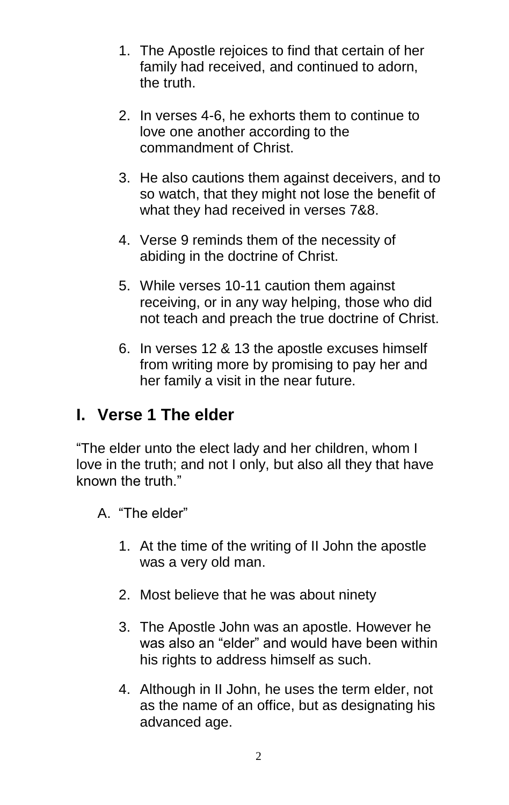- 1. The Apostle rejoices to find that certain of her family had received, and continued to adorn, the truth.
- 2. In verses 4-6, he exhorts them to continue to love one another according to the commandment of Christ.
- 3. He also cautions them against deceivers, and to so watch, that they might not lose the benefit of what they had received in verses 7&8.
- 4. Verse 9 reminds them of the necessity of abiding in the doctrine of Christ.
- 5. While verses 10-11 caution them against receiving, or in any way helping, those who did not teach and preach the true doctrine of Christ.
- 6. In verses 12 & 13 the apostle excuses himself from writing more by promising to pay her and her family a visit in the near future.

# **I. Verse 1 The elder**

"The elder unto the elect lady and her children, whom I love in the truth; and not I only, but also all they that have known the truth."

- A. "The elder"
	- 1. At the time of the writing of II John the apostle was a very old man.
	- 2. Most believe that he was about ninety
	- 3. The Apostle John was an apostle. However he was also an "elder" and would have been within his rights to address himself as such.
	- 4. Although in II John, he uses the term elder, not as the name of an office, but as designating his advanced age.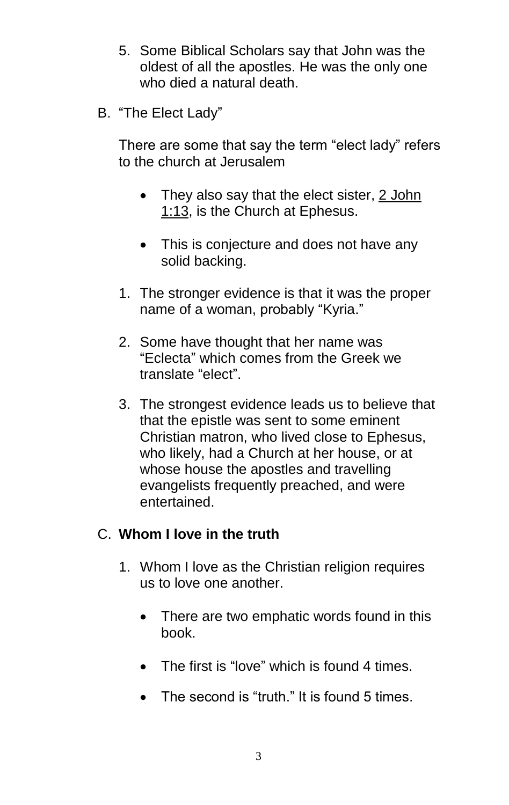- 5. Some Biblical Scholars say that John was the oldest of all the apostles. He was the only one who died a natural death.
- B. "The Elect Lady"

There are some that say the term "elect lady" refers to the church at Jerusalem

- They also say that the elect sister, 2 John [1:13,](http://www.studylight.org/desk/?query=2jo+1:13) is the Church at Ephesus.
- This is conjecture and does not have any solid backing.
- 1. The stronger evidence is that it was the proper name of a woman, probably "Kyria."
- 2. Some have thought that her name was "Eclecta" which comes from the Greek we translate "elect".
- 3. The strongest evidence leads us to believe that that the epistle was sent to some eminent Christian matron, who lived close to Ephesus, who likely, had a Church at her house, or at whose house the apostles and travelling evangelists frequently preached, and were entertained.

#### C. **Whom I love in the truth**

- 1. Whom I love as the Christian religion requires us to love one another.
	- There are two emphatic words found in this book.
	- The first is "love" which is found 4 times.
	- The second is "truth." It is found 5 times.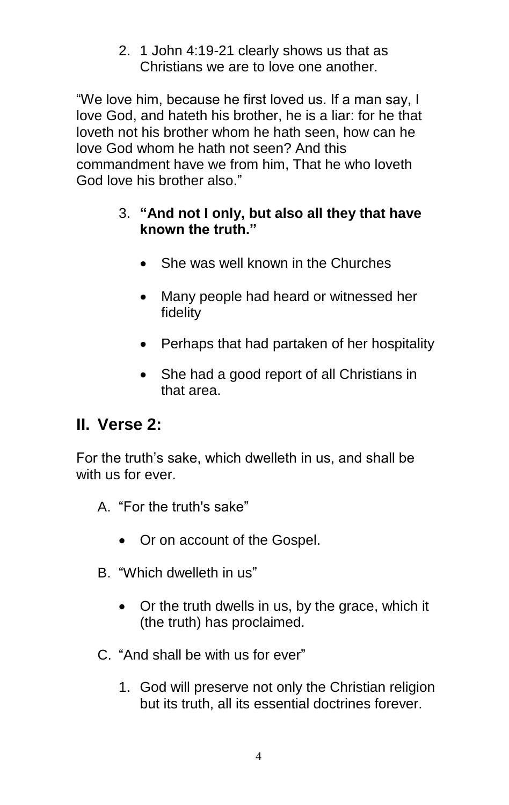2. 1 John 4:19-21 clearly shows us that as Christians we are to love one another.

"We love him, because he first loved us. If a man say, I love God, and hateth his brother, he is a liar: for he that loveth not his brother whom he hath seen, how can he love God whom he hath not seen? And this commandment have we from him, That he who loveth God love his brother also."

#### 3. **"And not I only, but also all they that have known the truth."**

- She was well known in the Churches
- Many people had heard or witnessed her fidelity
- Perhaps that had partaken of her hospitality
- She had a good report of all Christians in that area.

#### **II. Verse 2:**

For the truth's sake, which dwelleth in us, and shall be with us for ever.

- A. "For the truth's sake"
	- Or on account of the Gospel.
- B. "Which dwelleth in us"
	- Or the truth dwells in us, by the grace, which it (the truth) has proclaimed.
- C. "And shall be with us for ever"
	- 1. God will preserve not only the Christian religion but its truth, all its essential doctrines forever.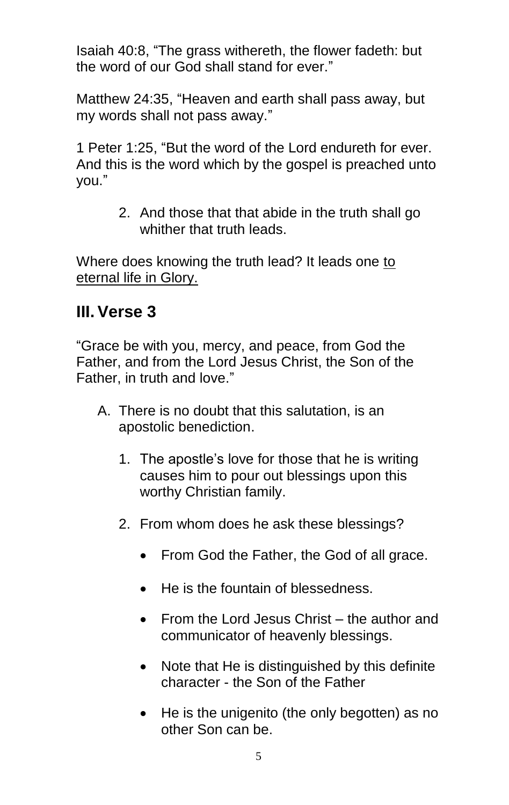Isaiah 40:8, "The grass withereth, the flower fadeth: but the word of our God shall stand for ever."

Matthew 24:35, "Heaven and earth shall pass away, but my words shall not pass away."

1 Peter 1:25, "But the word of the Lord endureth for ever. And this is the word which by the gospel is preached unto you."

> 2. And those that that abide in the truth shall go whither that truth leads.

Where does knowing the truth lead? It leads one to eternal life in Glory.

### **III. Verse 3**

"Grace be with you, mercy, and peace, from God the Father, and from the Lord Jesus Christ, the Son of the Father, in truth and love."

- A. There is no doubt that this salutation, is an apostolic benediction.
	- 1. The apostle's love for those that he is writing causes him to pour out blessings upon this worthy Christian family.
	- 2. From whom does he ask these blessings?
		- From God the Father, the God of all grace.
		- He is the fountain of blessedness.
		- From the Lord Jesus Christ the author and communicator of heavenly blessings.
		- Note that He is distinguished by this definite character - the Son of the Father
		- He is the unigenito (the only begotten) as no other Son can be.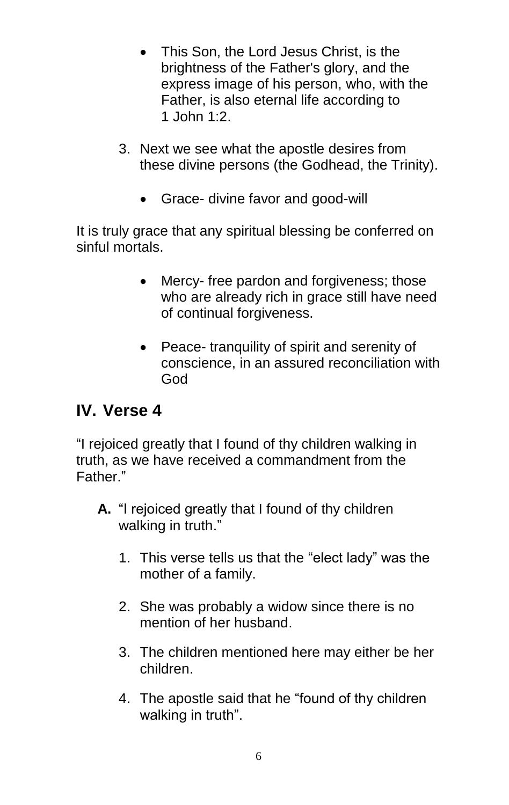- This Son, the Lord Jesus Christ, is the brightness of the Father's glory, and the express image of his person, who, with the Father, is also eternal life according to 1 [John 1:2.](http://www.studylight.org/desk/?query=1jo+1:2&t=kjv)
- 3. Next we see what the apostle desires from these divine persons (the Godhead, the Trinity).
	- Grace- divine favor and good-will

It is truly grace that any spiritual blessing be conferred on sinful mortals.

- Mercy- free pardon and forgiveness; those who are already rich in grace still have need of continual forgiveness.
- Peace- tranquility of spirit and serenity of conscience, in an assured reconciliation with God

# **IV. Verse 4**

"I rejoiced greatly that I found of thy children walking in truth, as we have received a commandment from the Father."

- **A.** "I rejoiced greatly that I found of thy children walking in truth."
	- 1. This verse tells us that the "elect lady" was the mother of a family.
	- 2. She was probably a widow since there is no mention of her husband.
	- 3. The children mentioned here may either be her children.
	- 4. The apostle said that he "found of thy children walking in truth".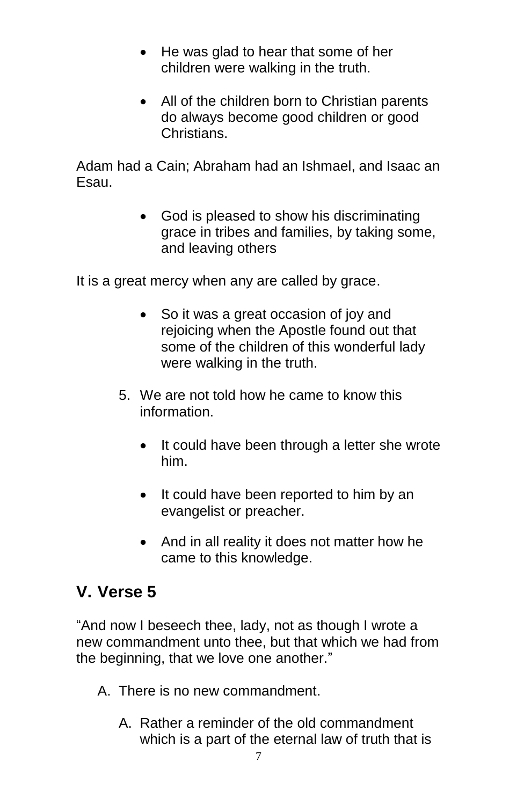- He was glad to hear that some of her children were walking in the truth.
- All of the children born to Christian parents do always become good children or good **Christians**

Adam had a Cain; Abraham had an Ishmael, and Isaac an Esau.

> • God is pleased to show his discriminating grace in tribes and families, by taking some, and leaving others

It is a great mercy when any are called by grace.

- So it was a great occasion of joy and rejoicing when the Apostle found out that some of the children of this wonderful lady were walking in the truth.
- 5. We are not told how he came to know this information.
	- It could have been through a letter she wrote him.
	- It could have been reported to him by an evangelist or preacher.
	- And in all reality it does not matter how he came to this knowledge.

# **V. Verse 5**

"And now I beseech thee, lady, not as though I wrote a new commandment unto thee, but that which we had from the beginning, that we love one another."

- A. There is no new commandment.
	- A. Rather a reminder of the old commandment which is a part of the eternal law of truth that is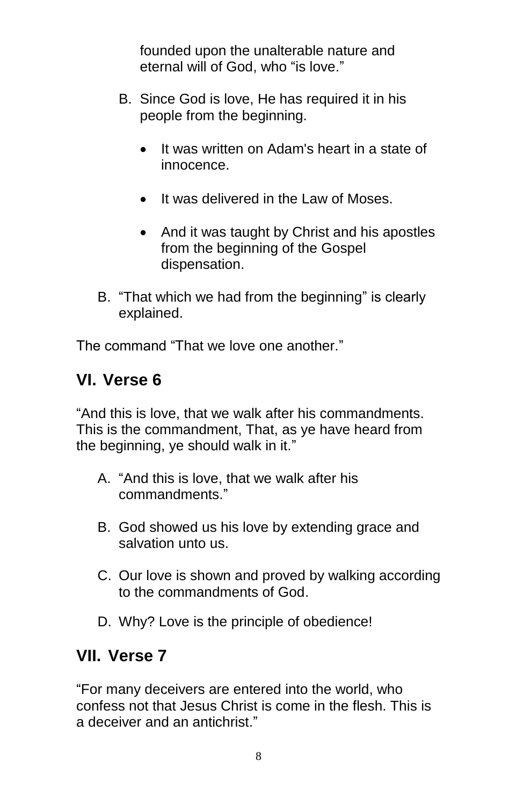founded upon the unalterable nature and eternal will of God, who "is love."

- B. Since God is love, He has required it in his people from the beginning.
	- It was written on Adam's heart in a state of innocence.
	- It was delivered in the Law of Moses.
	- And it was taught by Christ and his apostles from the beginning of the Gospel dispensation.
- B. "That which we had from the beginning" is clearly explained.

The command "That we love one another."

# **VI. Verse 6**

"And this is love, that we walk after his commandments. This is the commandment, That, as ye have heard from the beginning, ye should walk in it."

- A. "And this is love, that we walk after his commandments."
- B. God showed us his love by extending grace and salvation unto us.
- C. Our love is shown and proved by walking according to the commandments of God.
- D. Why? Love is the principle of obedience!

# **VII. Verse 7**

"For many deceivers are entered into the world, who confess not that Jesus Christ is come in the flesh. This is a deceiver and an antichrist."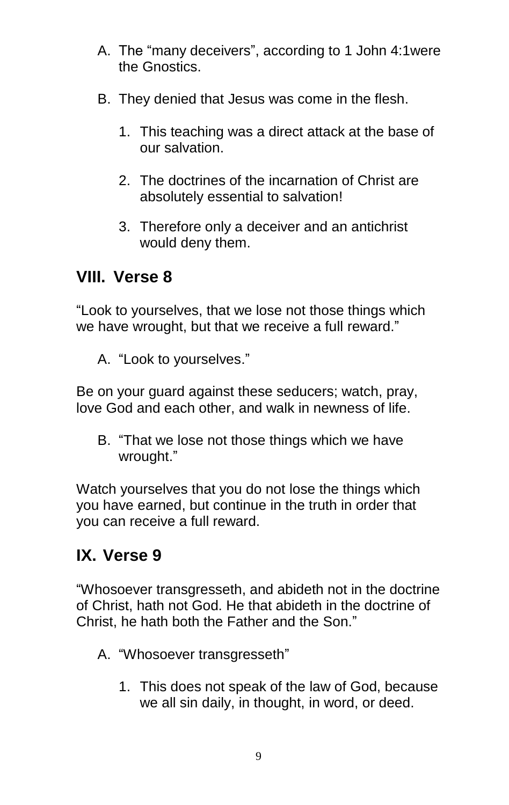- A. The "many deceivers", according to 1 [John 4:1w](http://www.studylight.org/desk/?query=1jo+4:1)ere the Gnostics.
- B. They denied that Jesus was come in the flesh.
	- 1. This teaching was a direct attack at the base of our salvation.
	- 2. The doctrines of the incarnation of Christ are absolutely essential to salvation!
	- 3. Therefore only a deceiver and an antichrist would deny them.

### **VIII. Verse 8**

"Look to yourselves, that we lose not those things which we have wrought, but that we receive a full reward."

A. "Look to yourselves."

Be on your guard against these seducers; watch, pray, love God and each other, and walk in newness of life.

B. "That we lose not those things which we have wrought."

Watch yourselves that you do not lose the things which you have earned, but continue in the truth in order that you can receive a full reward.

# **IX. Verse 9**

"Whosoever transgresseth, and abideth not in the doctrine of Christ, hath not God. He that abideth in the doctrine of Christ, he hath both the Father and the Son."

- A. "Whosoever transgresseth"
	- 1. This does not speak of the law of God, because we all sin daily, in thought, in word, or deed.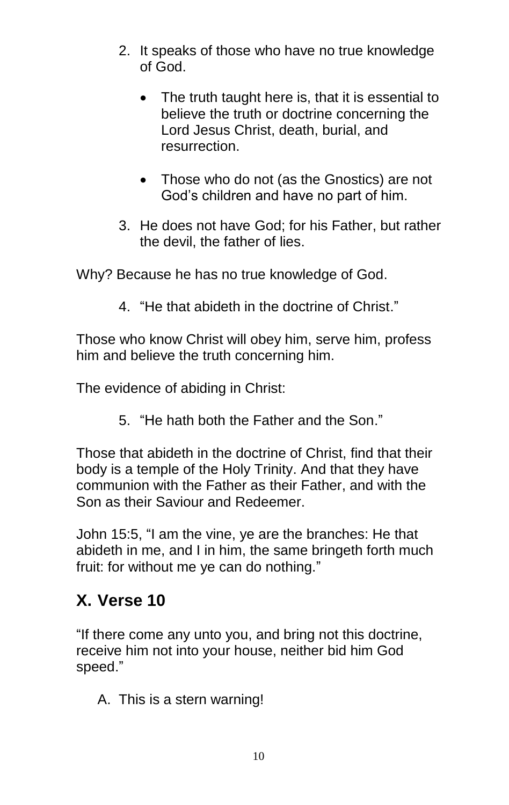- 2. It speaks of those who have no true knowledge of God.
	- The truth taught here is, that it is essential to believe the truth or doctrine concerning the Lord Jesus Christ, death, burial, and resurrection.
	- Those who do not (as the Gnostics) are not God's children and have no part of him.
- 3. He does not have God; for his Father, but rather the devil, the father of lies.

Why? Because he has no true knowledge of God.

4. "He that abideth in the doctrine of Christ."

Those who know Christ will obey him, serve him, profess him and believe the truth concerning him.

The evidence of abiding in Christ:

5. "He hath both the Father and the Son."

Those that abideth in the doctrine of Christ, find that their body is a temple of the Holy Trinity. And that they have communion with the Father as their Father, and with the Son as their Saviour and Redeemer.

John 15:5, "I am the vine, ye are the branches: He that abideth in me, and I in him, the same bringeth forth much fruit: for without me ye can do nothing."

# **X. Verse 10**

"If there come any unto you, and bring not this doctrine, receive him not into your house, neither bid him God speed."

A. This is a stern warning!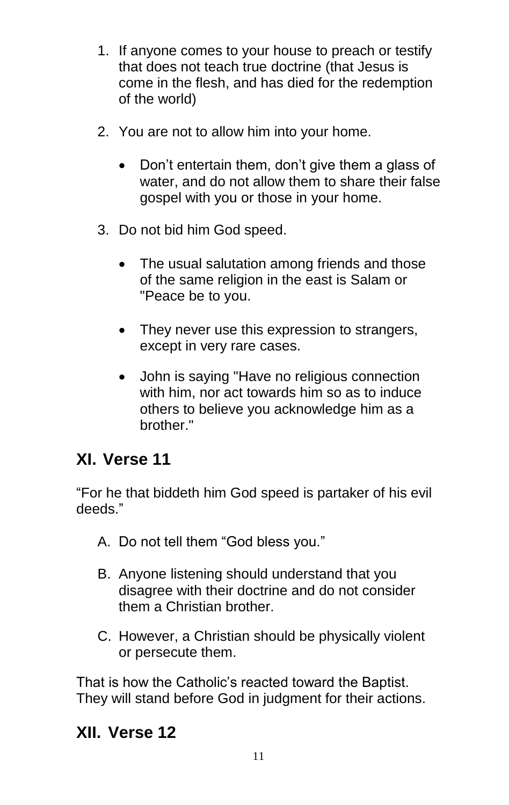- 1. If anyone comes to your house to preach or testify that does not teach true doctrine (that Jesus is come in the flesh, and has died for the redemption of the world)
- 2. You are not to allow him into your home.
	- Don't entertain them, don't give them a glass of water, and do not allow them to share their false gospel with you or those in your home.
- 3. Do not bid him God speed.
	- The usual salutation among friends and those of the same religion in the east is Salam or "Peace be to you.
	- They never use this expression to strangers, except in very rare cases.
	- John is saying "Have no religious connection with him, nor act towards him so as to induce others to believe you acknowledge him as a hrother."

# **XI. Verse 11**

"For he that biddeth him God speed is partaker of his evil deeds."

- A. Do not tell them "God bless you."
- B. Anyone listening should understand that you disagree with their doctrine and do not consider them a Christian brother.
- C. However, a Christian should be physically violent or persecute them.

That is how the Catholic's reacted toward the Baptist. They will stand before God in judgment for their actions.

# **XII. Verse 12**